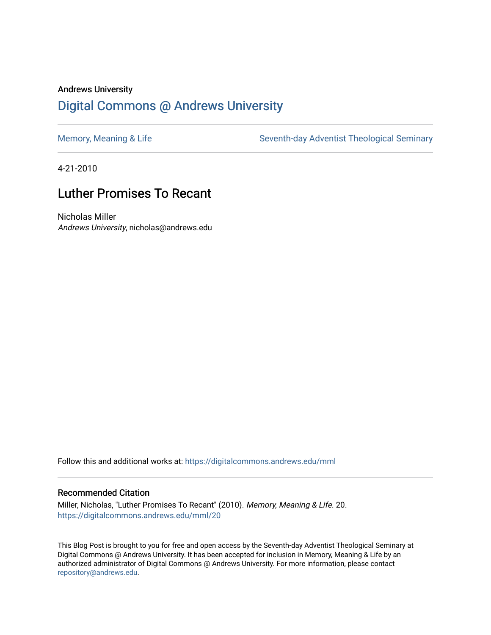# Andrews University [Digital Commons @ Andrews University](https://digitalcommons.andrews.edu/)

[Memory, Meaning & Life](https://digitalcommons.andrews.edu/mml) Seventh-day Adventist Theological Seminary

4-21-2010

# Luther Promises To Recant

Nicholas Miller Andrews University, nicholas@andrews.edu

Follow this and additional works at: [https://digitalcommons.andrews.edu/mml](https://digitalcommons.andrews.edu/mml?utm_source=digitalcommons.andrews.edu%2Fmml%2F20&utm_medium=PDF&utm_campaign=PDFCoverPages) 

#### Recommended Citation

Miller, Nicholas, "Luther Promises To Recant" (2010). Memory, Meaning & Life. 20. [https://digitalcommons.andrews.edu/mml/20](https://digitalcommons.andrews.edu/mml/20?utm_source=digitalcommons.andrews.edu%2Fmml%2F20&utm_medium=PDF&utm_campaign=PDFCoverPages)

This Blog Post is brought to you for free and open access by the Seventh-day Adventist Theological Seminary at Digital Commons @ Andrews University. It has been accepted for inclusion in Memory, Meaning & Life by an authorized administrator of Digital Commons @ Andrews University. For more information, please contact [repository@andrews.edu](mailto:repository@andrews.edu).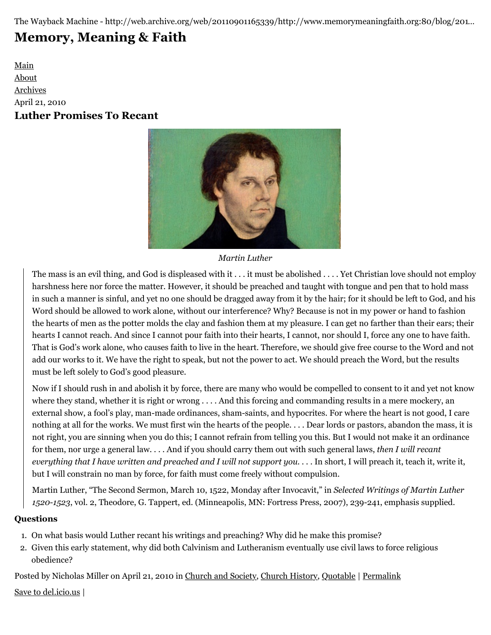The Wayback Machine - http://web.archive.org/web/20110901165339/http://www.memorymeaningfaith.org:80/blog/201…

# **[Memory, Meaning & Faith](http://web.archive.org/web/20110901165339/http://www.memorymeaningfaith.org/blog/)**

[Main](http://web.archive.org/web/20110901165339/http://www.memorymeaningfaith.org/blog) [About](http://web.archive.org/web/20110901165339/http://www.memorymeaningfaith.org/blog/about.html) [Archives](http://web.archive.org/web/20110901165339/http://www.memorymeaningfaith.org/blog/archives.html) April 21, 2010 **Luther Promises To Recant**



*Martin Luther*

The mass is an evil thing, and God is displeased with it . . . it must be abolished . . . . Yet Christian love should not employ harshness here nor force the matter. However, it should be preached and taught with tongue and pen that to hold mass in such a manner is sinful, and yet no one should be dragged away from it by the hair; for it should be left to God, and his Word should be allowed to work alone, without our interference? Why? Because is not in my power or hand to fashion the hearts of men as the potter molds the clay and fashion them at my pleasure. I can get no farther than their ears; their hearts I cannot reach. And since I cannot pour faith into their hearts, I cannot, nor should I, force any one to have faith. That is God's work alone, who causes faith to live in the heart. Therefore, we should give free course to the Word and not add our works to it. We have the right to speak, but not the power to act. We should preach the Word, but the results must be left solely to God's good pleasure.

Now if I should rush in and abolish it by force, there are many who would be compelled to consent to it and yet not know where they stand, whether it is right or wrong . . . . And this forcing and commanding results in a mere mockery, an external show, a fool's play, man-made ordinances, sham-saints, and hypocrites. For where the heart is not good, I care nothing at all for the works. We must first win the hearts of the people. . . . Dear lords or pastors, abandon the mass, it is not right, you are sinning when you do this; I cannot refrain from telling you this. But I would not make it an ordinance for them, nor urge a general law. . . . And if you should carry them out with such general laws, *then I will recant everything that I have written and preached and I will not support you*. . . . In short, I will preach it, teach it, write it, but I will constrain no man by force, for faith must come freely without compulsion.

Martin Luther, "The Second Sermon, March 10, 1522, Monday after Invocavit," in *Selected Writings of Martin Luther 1520-1523*, vol. 2, Theodore, G. Tappert, ed. (Minneapolis, MN: Fortress Press, 2007), 239-241, emphasis supplied.

### **Questions**

- 1. On what basis would Luther recant his writings and preaching? Why did he make this promise?
- 2. Given this early statement, why did both Calvinism and Lutheranism eventually use civil laws to force religious obedience?

Posted by Nicholas Miller on April 21, 2010 in [Church and Society,](http://web.archive.org/web/20110901165339/http://www.memorymeaningfaith.org/blog/church-and-society/) [Church History](http://web.archive.org/web/20110901165339/http://www.memorymeaningfaith.org/blog/church-history/), [Quotable](http://web.archive.org/web/20110901165339/http://www.memorymeaningfaith.org/blog/sources/) | [Permalink](http://web.archive.org/web/20110901165339/http://www.memorymeaningfaith.org/blog/2010/04/luther-promises-to-recant.html)

[Save to del.icio.us](http://web.archive.org/web/20110901165339/http://del.icio.us/post) |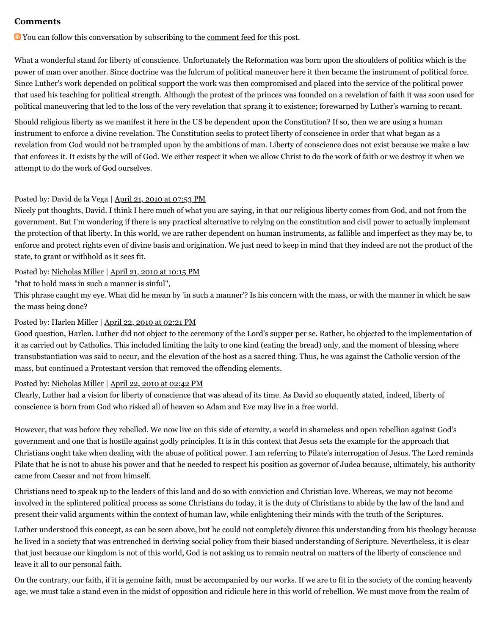#### **Comments**

You can follow this conversation by subscribing to the [comment feed](http://web.archive.org/web/20110901165339/http://www.memorymeaningfaith.org/blog/2010/04/luther-promises-to-recant/comments/atom.xml) for this post.

What a wonderful stand for liberty of conscience. Unfortunately the Reformation was born upon the shoulders of politics which is the power of man over another. Since doctrine was the fulcrum of political maneuver here it then became the instrument of political force. Since Luther's work depended on political support the work was then compromised and placed into the service of the political power that used his teaching for political strength. Although the protest of the princes was founded on a revelation of faith it was soon used for political maneuvering that led to the loss of the very revelation that sprang it to existence; forewarned by Luther's warning to recant.

Should religious liberty as we manifest it here in the US be dependent upon the Constitution? If so, then we are using a human instrument to enforce a divine revelation. The Constitution seeks to protect liberty of conscience in order that what began as a revelation from God would not be trampled upon by the ambitions of man. Liberty of conscience does not exist because we make a law that enforces it. It exists by the will of God. We either respect it when we allow Christ to do the work of faith or we destroy it when we attempt to do the work of God ourselves.

#### Posted by: David de la Vega | [April 21, 2010 at 07:53 PM](http://web.archive.org/web/20110901165339/http://www.memorymeaningfaith.org/blog/2010/04/luther-promises-to-recant.html?cid=6a01287656f488970c0133ecda019e970b#comment-6a01287656f488970c0133ecda019e970b)

Nicely put thoughts, David. I think I here much of what you are saying, in that our religious liberty comes from God, and not from the government. But I'm wondering if there is any practical alternative to relying on the constitution and civil power to actually implement the protection of that liberty. In this world, we are rather dependent on human instruments, as fallible and imperfect as they may be, to enforce and protect rights even of divine basis and origination. We just need to keep in mind that they indeed are not the product of the state, to grant or withhold as it sees fit.

#### Posted by: [Nicholas Miller](http://web.archive.org/web/20110901165339/http://profile.typepad.com/npmiller) | [April 21, 2010 at 10:15 PM](http://web.archive.org/web/20110901165339/http://www.memorymeaningfaith.org/blog/2010/04/luther-promises-to-recant.html?cid=6a01287656f488970c0134800adda1970c#comment-6a01287656f488970c0134800adda1970c)

"that to hold mass in such a manner is sinful",

This phrase caught my eye. What did he mean by 'in such a manner'? Is his concern with the mass, or with the manner in which he saw the mass being done?

#### Posted by: Harlen Miller | [April 22, 2010 at 02:21 PM](http://web.archive.org/web/20110901165339/http://www.memorymeaningfaith.org/blog/2010/04/luther-promises-to-recant.html?cid=6a01287656f488970c0133ecdf6af4970b#comment-6a01287656f488970c0133ecdf6af4970b)

Good question, Harlen. Luther did not object to the ceremony of the Lord's supper per se. Rather, he objected to the implementation of it as carried out by Catholics. This included limiting the laity to one kind (eating the bread) only, and the moment of blessing where transubstantiation was said to occur, and the elevation of the host as a sacred thing. Thus, he was against the Catholic version of the mass, but continued a Protestant version that removed the offending elements.

#### Posted by: [Nicholas Miller](http://web.archive.org/web/20110901165339/http://profile.typepad.com/npmiller) | [April 22, 2010 at 02:42 PM](http://web.archive.org/web/20110901165339/http://www.memorymeaningfaith.org/blog/2010/04/luther-promises-to-recant.html?cid=6a01287656f488970c0134800f6f14970c#comment-6a01287656f488970c0134800f6f14970c)

Clearly, Luther had a vision for liberty of conscience that was ahead of its time. As David so eloquently stated, indeed, liberty of conscience is born from God who risked all of heaven so Adam and Eve may live in a free world.

However, that was before they rebelled. We now live on this side of eternity, a world in shameless and open rebellion against God's government and one that is hostile against godly principles. It is in this context that Jesus sets the example for the approach that Christians ought take when dealing with the abuse of political power. I am referring to Pilate's interrogation of Jesus. The Lord reminds Pilate that he is not to abuse his power and that he needed to respect his position as governor of Judea because, ultimately, his authority came from Caesar and not from himself.

Christians need to speak up to the leaders of this land and do so with conviction and Christian love. Whereas, we may not become involved in the splintered political process as some Christians do today, it is the duty of Christians to abide by the law of the land and present their valid arguments within the context of human law, while enlightening their minds with the truth of the Scriptures.

Luther understood this concept, as can be seen above, but he could not completely divorce this understanding from his theology because he lived in a society that was entrenched in deriving social policy from their biased understanding of Scripture. Nevertheless, it is clear that just because our kingdom is not of this world, God is not asking us to remain neutral on matters of the liberty of conscience and leave it all to our personal faith.

On the contrary, our faith, if it is genuine faith, must be accompanied by our works. If we are to fit in the society of the coming heavenly age, we must take a stand even in the midst of opposition and ridicule here in this world of rebellion. We must move from the realm of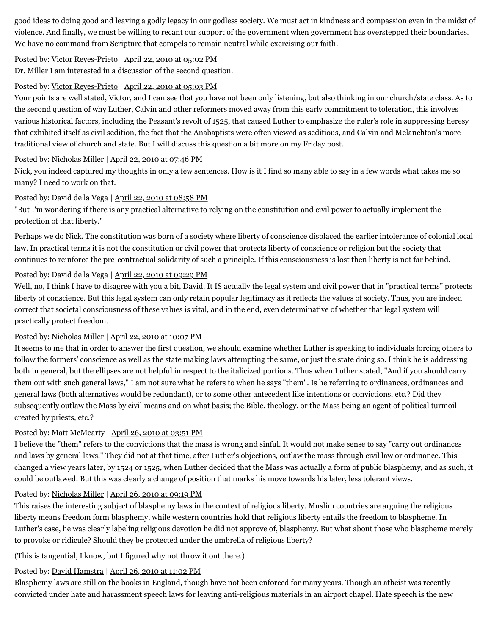good ideas to doing good and leaving a godly legacy in our godless society. We must act in kindness and compassion even in the midst of violence. And finally, we must be willing to recant our support of the government when government has overstepped their boundaries. We have no command from Scripture that compels to remain neutral while exercising our faith.

#### Posted by: [Victor Reyes-Prieto](http://web.archive.org/web/20110901165339/http://profile.typepad.com/reyesprieto) | [April 22, 2010 at 05:02 PM](http://web.archive.org/web/20110901165339/http://www.memorymeaningfaith.org/blog/2010/04/luther-promises-to-recant.html?cid=6a01287656f488970c013480103eba970c#comment-6a01287656f488970c013480103eba970c)

Dr. Miller I am interested in a discussion of the second question.

#### Posted by: [Victor Reyes-Prieto](http://web.archive.org/web/20110901165339/http://profile.typepad.com/reyesprieto) | [April 22, 2010 at 05:03 PM](http://web.archive.org/web/20110901165339/http://www.memorymeaningfaith.org/blog/2010/04/luther-promises-to-recant.html?cid=6a01287656f488970c013480104115970c#comment-6a01287656f488970c013480104115970c)

Your points are well stated, Victor, and I can see that you have not been only listening, but also thinking in our church/state class. As to the second question of why Luther, Calvin and other reformers moved away from this early commitment to toleration, this involves various historical factors, including the Peasant's revolt of 1525, that caused Luther to emphasize the ruler's role in suppressing heresy that exhibited itself as civil sedition, the fact that the Anabaptists were often viewed as seditious, and Calvin and Melanchton's more traditional view of church and state. But I will discuss this question a bit more on my Friday post.

#### Posted by: [Nicholas Miller](http://web.archive.org/web/20110901165339/http://profile.typepad.com/npmiller) | [April 22, 2010 at 07:46 PM](http://web.archive.org/web/20110901165339/http://www.memorymeaningfaith.org/blog/2010/04/luther-promises-to-recant.html?cid=6a01287656f488970c01348010f9c3970c#comment-6a01287656f488970c01348010f9c3970c)

Nick, you indeed captured my thoughts in only a few sentences. How is it I find so many able to say in a few words what takes me so many? I need to work on that.

#### Posted by: David de la Vega | [April 22, 2010 at 08:58 PM](http://web.archive.org/web/20110901165339/http://www.memorymeaningfaith.org/blog/2010/04/luther-promises-to-recant.html?cid=6a01287656f488970c0133ece16e70970b#comment-6a01287656f488970c0133ece16e70970b)

"But I'm wondering if there is any practical alternative to relying on the constitution and civil power to actually implement the protection of that liberty."

Perhaps we do Nick. The constitution was born of a society where liberty of conscience displaced the earlier intolerance of colonial local law. In practical terms it is not the constitution or civil power that protects liberty of conscience or religion but the society that continues to reinforce the pre-contractual solidarity of such a principle. If this consciousness is lost then liberty is not far behind.

#### Posted by: David de la Vega | [April 22, 2010 at 09:29 PM](http://web.archive.org/web/20110901165339/http://www.memorymeaningfaith.org/blog/2010/04/luther-promises-to-recant.html?cid=6a01287656f488970c0133ece19533970b#comment-6a01287656f488970c0133ece19533970b)

Well, no, I think I have to disagree with you a bit, David. It IS actually the legal system and civil power that in "practical terms" protects liberty of conscience. But this legal system can only retain popular legitimacy as it reflects the values of society. Thus, you are indeed correct that societal consciousness of these values is vital, and in the end, even determinative of whether that legal system will practically protect freedom.

#### Posted by: [Nicholas Miller](http://web.archive.org/web/20110901165339/http://profile.typepad.com/npmiller) | [April 22, 2010 at 10:07 PM](http://web.archive.org/web/20110901165339/http://www.memorymeaningfaith.org/blog/2010/04/luther-promises-to-recant.html?cid=6a01287656f488970c013480119c51970c#comment-6a01287656f488970c013480119c51970c)

It seems to me that in order to answer the first question, we should examine whether Luther is speaking to individuals forcing others to follow the formers' conscience as well as the state making laws attempting the same, or just the state doing so. I think he is addressing both in general, but the ellipses are not helpful in respect to the italicized portions. Thus when Luther stated, "And if you should carry them out with such general laws," I am not sure what he refers to when he says "them". Is he referring to ordinances, ordinances and general laws (both alternatives would be redundant), or to some other antecedent like intentions or convictions, etc.? Did they subsequently outlaw the Mass by civil means and on what basis; the Bible, theology, or the Mass being an agent of political turmoil created by priests, etc.?

#### Posted by: Matt McMearty | [April 26, 2010 at 03:51 PM](http://web.archive.org/web/20110901165339/http://www.memorymeaningfaith.org/blog/2010/04/luther-promises-to-recant.html?cid=6a01287656f488970c0133ecf8a309970b#comment-6a01287656f488970c0133ecf8a309970b)

I believe the "them" refers to the convictions that the mass is wrong and sinful. It would not make sense to say "carry out ordinances and laws by general laws." They did not at that time, after Luther's objections, outlaw the mass through civil law or ordinance. This changed a view years later, by 1524 or 1525, when Luther decided that the Mass was actually a form of public blasphemy, and as such, it could be outlawed. But this was clearly a change of position that marks his move towards his later, less tolerant views.

#### Posted by: [Nicholas Miller](http://web.archive.org/web/20110901165339/http://profile.typepad.com/npmiller) | [April 26, 2010 at 09:19 PM](http://web.archive.org/web/20110901165339/http://www.memorymeaningfaith.org/blog/2010/04/luther-promises-to-recant.html?cid=6a01287656f488970c0133ecfa54b1970b#comment-6a01287656f488970c0133ecfa54b1970b)

This raises the interesting subject of blasphemy laws in the context of religious liberty. Muslim countries are arguing the religious liberty means freedom form blasphemy, while western countries hold that religious liberty entails the freedom to blaspheme. In Luther's case, he was clearly labeling religious devotion he did not approve of, blasphemy. But what about those who blaspheme merely to provoke or ridicule? Should they be protected under the umbrella of religious liberty?

(This is tangential, I know, but I figured why not throw it out there.)

#### Posted by: [David Hamstra](http://web.archive.org/web/20110901165339/http://profile.typepad.com/davidhamstra) | [April 26, 2010 at 11:02 PM](http://web.archive.org/web/20110901165339/http://www.memorymeaningfaith.org/blog/2010/04/luther-promises-to-recant.html?cid=6a01287656f488970c0134802a84e5970c#comment-6a01287656f488970c0134802a84e5970c)

Blasphemy laws are still on the books in England, though have not been enforced for many years. Though an atheist was recently convicted under hate and harassment speech laws for leaving anti-religious materials in an airport chapel. Hate speech is the new